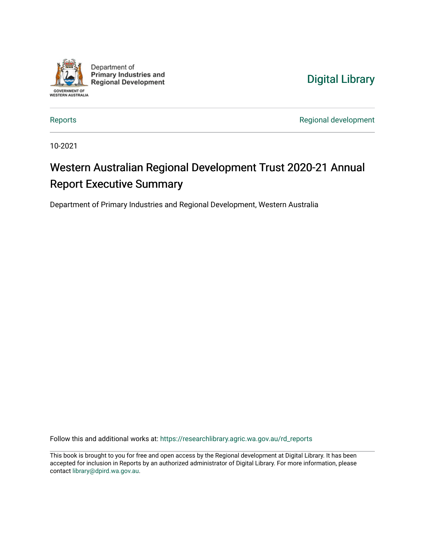

Department of **Primary Industries and Regional Development** 



[Reports](https://researchlibrary.agric.wa.gov.au/rd_reports) [Regional development](https://researchlibrary.agric.wa.gov.au/regional) 

10-2021

## Western Australian Regional Development Trust 2020-21 Annual Report Executive Summary

Department of Primary Industries and Regional Development, Western Australia

Follow this and additional works at: [https://researchlibrary.agric.wa.gov.au/rd\\_reports](https://researchlibrary.agric.wa.gov.au/rd_reports?utm_source=researchlibrary.agric.wa.gov.au%2Frd_reports%2F24&utm_medium=PDF&utm_campaign=PDFCoverPages)

This book is brought to you for free and open access by the Regional development at Digital Library. It has been accepted for inclusion in Reports by an authorized administrator of Digital Library. For more information, please contact [library@dpird.wa.gov.au](mailto:library@dpird.wa.gov.au).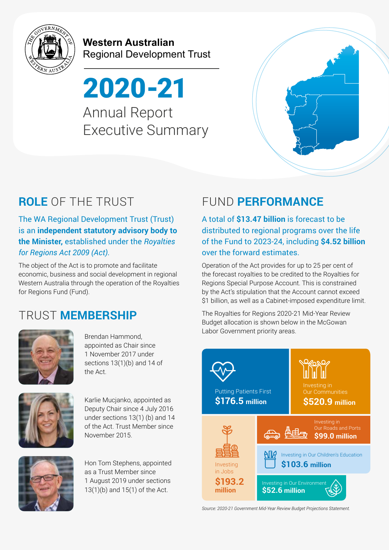

**Western Australian** Regional Development Trust

2020-21 Annual Report Executive Summary



The WA Regional Development Trust (Trust) is an **independent statutory advisory body to the Minister,** established under the *Royalties for Regions Act 2009 (Act).*

The object of the Act is to promote and facilitate economic, business and social development in regional Western Australia through the operation of the Royalties for Regions Fund (Fund).

## TRUST **MEMBERSHIP**



Labor Government priority areas. Brendan Hammond, appointed as Chair since 1 November 2017 under sections 13(1)(b) and 14 of the Act.



Karlie Mucjanko, appointed as Deputy Chair since 4 July 2016 under sections 13(1) (b) and 14 of the Act. Trust Member since November 2015.



Hon Tom Stephens, appointed as a Trust Member since 1 August 2019 under sections 13(1)(b) and 15(1) of the Act.

# **ROLE** OF THE TRUST FUND **PERFORMANCE**

A total of **\$13.47 billion** is forecast to be distributed to regional programs over the life of the Fund to 2023-24, including **\$4.52 billion** over the forward estimates.

Operation of the Act provides for up to 25 per cent of the forecast royalties to be credited to the Royalties for Regions Special Purpose Account. This is constrained by the Act's stipulation that the Account cannot exceed \$1 billion, as well as a Cabinet-imposed expenditure limit.

The Royalties for Regions 2020-21 Mid-Year Review Budget allocation is shown below in the McGowan



*Source: 2020-21 Government Mid-Year Review Budget Projections Statement.*